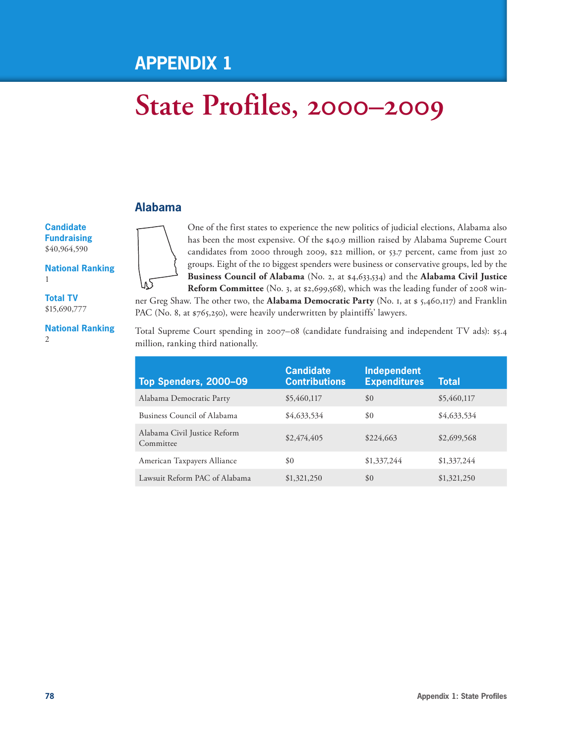## **Appendix 1**

# **State Profiles, 2000–2009**

#### **Alabama**

**Candidate Fundraising**  \$40,964,590

**National Ranking** 1

**Total TV** \$15,690,777

**National Ranking**  $\mathfrak{D}$ 

One of the first states to experience the new politics of judicial elections, Alabama also has been the most expensive. Of the \$40.9 million raised by Alabama Supreme Court candidates from 2000 through 2009, \$22 million, or 53.7 percent, came from just 20 groups. Eight of the 10 biggest spenders were business or conservative groups, led by the **Business Council of Alabama** (No. 2, at \$4,633,534) and the **Alabama Civil Justice Reform Committee** (No. 3, at \$2,699,568), which was the leading funder of 2008 win-

ner Greg Shaw. The other two, the **Alabama Democratic Party** (No. 1, at \$ 5,460,117) and Franklin PAC (No. 8, at \$765,250), were heavily underwritten by plaintiffs' lawyers.

Total Supreme Court spending in 2007–08 (candidate fundraising and independent TV ads): \$5.4 million, ranking third nationally.

| Top Spenders, 2000-09                     | <b>Candidate</b><br><b>Contributions</b> | Independent<br><b>Expenditures</b> | <b>Total</b> |
|-------------------------------------------|------------------------------------------|------------------------------------|--------------|
| Alabama Democratic Party                  | \$5,460,117                              | \$0                                | \$5,460,117  |
| Business Council of Alabama               | \$4,633,534                              | \$0                                | \$4,633,534  |
| Alabama Civil Justice Reform<br>Committee | \$2,474,405                              | \$224,663                          | \$2,699,568  |
| American Taxpayers Alliance               | \$0                                      | \$1,337,244                        | \$1,337,244  |
| Lawsuit Reform PAC of Alabama             | \$1,321,250                              | \$0                                | \$1,321,250  |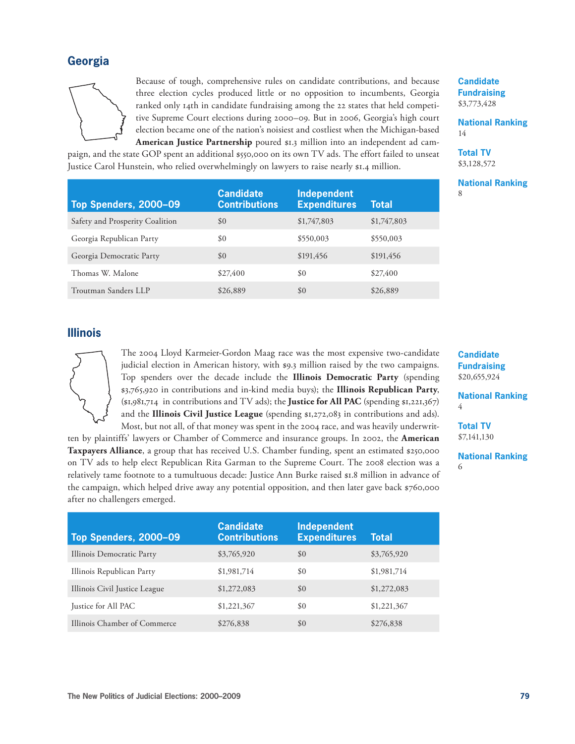#### **Georgia**



Because of tough, comprehensive rules on candidate contributions, and because three election cycles produced little or no opposition to incumbents, Georgia ranked only 14th in candidate fundraising among the 22 states that held competitive Supreme Court elections during 2000–09. But in 2006, Georgia's high court election became one of the nation's noisiest and costliest when the Michigan-based **American Justice Partnership** poured \$1.3 million into an independent ad cam-

paign, and the state GOP spent an additional \$550,000 on its own TV ads. The effort failed to unseat Justice Carol Hunstein, who relied overwhelmingly on lawyers to raise nearly \$1.4 million.

| <b>Candidate</b>   |
|--------------------|
| <b>Fundraising</b> |
| \$3,773,428        |

**National Ranking** 14

**Total TV** \$3,128,572

**National Ranking** 8

| Top Spenders, 2000-09           | <b>Candidate</b><br><b>Contributions</b> | <b>Independent</b><br><b>Expenditures</b> | <b>Total</b> |
|---------------------------------|------------------------------------------|-------------------------------------------|--------------|
| Safety and Prosperity Coalition | \$0                                      | \$1,747,803                               | \$1,747,803  |
| Georgia Republican Party        | \$0                                      | \$550,003                                 | \$550,003    |
| Georgia Democratic Party        | \$0                                      | \$191,456                                 | \$191,456    |
| Thomas W. Malone                | \$27,400                                 | \$0                                       | \$27,400     |
| Troutman Sanders LLP            | \$26,889                                 | \$0                                       | \$26,889     |

#### **Illinois**



The 2004 Lloyd Karmeier-Gordon Maag race was the most expensive two-candidate judicial election in American history, with \$9.3 million raised by the two campaigns. Top spenders over the decade include the **Illinois Democratic Party** (spending \$3,765,920 in contributions and in-kind media buys); the **Illinois Republican Party**, (\$1,981,714 in contributions and TV ads); the **Justice for All PAC** (spending \$1,221,367) and the **Illinois Civil Justice League** (spending \$1,272,083 in contributions and ads).

Most, but not all, of that money was spent in the 2004 race, and was heavily underwritten by plaintiffs' lawyers or Chamber of Commerce and insurance groups. In 2002, the **American Taxpayers Alliance**, a group that has received U.S. Chamber funding, spent an estimated \$250,000 on TV ads to help elect Republican Rita Garman to the Supreme Court. The 2008 election was a relatively tame footnote to a tumultuous decade: Justice Ann Burke raised \$1.8 million in advance of the campaign, which helped drive away any potential opposition, and then later gave back \$760,000 after no challengers emerged.

**Candidate Fundraising**  \$20,655,924

**National Ranking** 4

**Total TV** \$7,141,130

#### **National Ranking** 6

| Top Spenders, 2000-09         | <b>Candidate</b><br><b>Contributions</b> | <b>Independent</b><br><b>Expenditures</b> | Total       |
|-------------------------------|------------------------------------------|-------------------------------------------|-------------|
| Illinois Democratic Party     | \$3,765,920                              | \$0                                       | \$3,765,920 |
| Illinois Republican Party     | \$1,981,714                              | \$0                                       | \$1,981,714 |
| Illinois Civil Justice League | \$1,272,083                              | \$0                                       | \$1,272,083 |
| Justice for All PAC           | \$1,221,367                              | \$0                                       | \$1,221,367 |
| Illinois Chamber of Commerce  | \$276,838                                | \$0                                       | \$276,838   |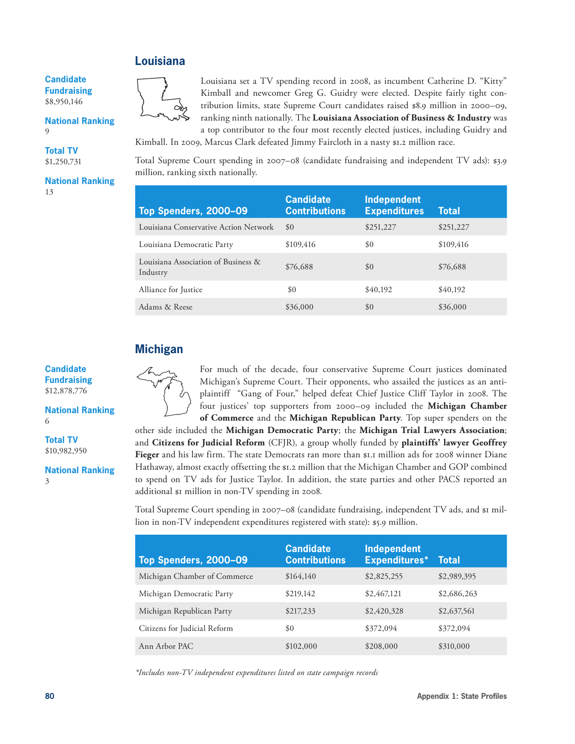#### **Louisiana**

**Candidate Fundraising**  \$8,950,146

**National Ranking** 9

**Total TV** \$1,250,731

**National Ranking** 13



Louisiana set a TV spending record in 2008, as incumbent Catherine D. "Kitty" Kimball and newcomer Greg G. Guidry were elected. Despite fairly tight contribution limits, state Supreme Court candidates raised \$8.9 million in 2000–09, ranking ninth nationally. The **Louisiana Association of Business & Industry** was a top contributor to the four most recently elected justices, including Guidry and

Kimball. In 2009, Marcus Clark defeated Jimmy Faircloth in a nasty \$1.2 million race.

Total Supreme Court spending in 2007–08 (candidate fundraising and independent TV ads): \$3.9 million, ranking sixth nationally.

| Top Spenders, 2000-09                           | <b>Candidate</b><br><b>Contributions</b> | <b>Independent</b><br><b>Expenditures</b> | <b>Total</b> |
|-------------------------------------------------|------------------------------------------|-------------------------------------------|--------------|
| Louisiana Conservative Action Network           | \$0                                      | \$251,227                                 | \$251,227    |
| Louisiana Democratic Party                      | \$109,416                                | \$0                                       | \$109,416    |
| Louisiana Association of Business &<br>Industry | \$76,688                                 | \$0                                       | \$76,688     |
| Alliance for Justice                            | \$0                                      | \$40,192                                  | \$40,192     |
| Adams & Reese                                   | \$36,000                                 | \$0                                       | \$36,000     |

#### **Michigan**



**National Ranking** 6

**Total TV** \$10,982,950

**National Ranking** 3



For much of the decade, four conservative Supreme Court justices dominated Michigan's Supreme Court. Their opponents, who assailed the justices as an antiplaintiff "Gang of Four," helped defeat Chief Justice Cliff Taylor in 2008. The four justices' top supporters from 2000–09 included the **Michigan Chamber of Commerce** and the **Michigan Republican Party**. Top super spenders on the

other side included the **Michigan Democratic Party**; the **Michigan Trial Lawyers Association**; and **Citizens for Judicial Reform** (CFJR), a group wholly funded by **plaintiffs' lawyer Geoffrey Fieger** and his law firm. The state Democrats ran more than \$1.1 million ads for 2008 winner Diane Hathaway, almost exactly offsetting the \$1.2 million that the Michigan Chamber and GOP combined to spend on TV ads for Justice Taylor. In addition, the state parties and other PACS reported an additional \$1 million in non-TV spending in 2008.

Total Supreme Court spending in 2007–08 (candidate fundraising, independent TV ads, and \$1 million in non-TV independent expenditures registered with state): \$5.9 million.

| Top Spenders, 2000-09        | <b>Candidate</b><br><b>Contributions</b> | <b>Independent</b><br><b>Expenditures*</b> | <b>Total</b> |
|------------------------------|------------------------------------------|--------------------------------------------|--------------|
| Michigan Chamber of Commerce | \$164,140                                | \$2,825,255                                | \$2,989,395  |
| Michigan Democratic Party    | \$219,142                                | \$2,467,121                                | \$2,686,263  |
| Michigan Republican Party    | \$217,233                                | \$2,420,328                                | \$2,637,561  |
| Citizens for Judicial Reform | \$0                                      | \$372,094                                  | \$372,094    |
| Ann Arbor PAC                | \$102,000                                | \$208,000                                  | \$310,000    |

*\*Includes non-TV independent expenditures listed on state campaign records*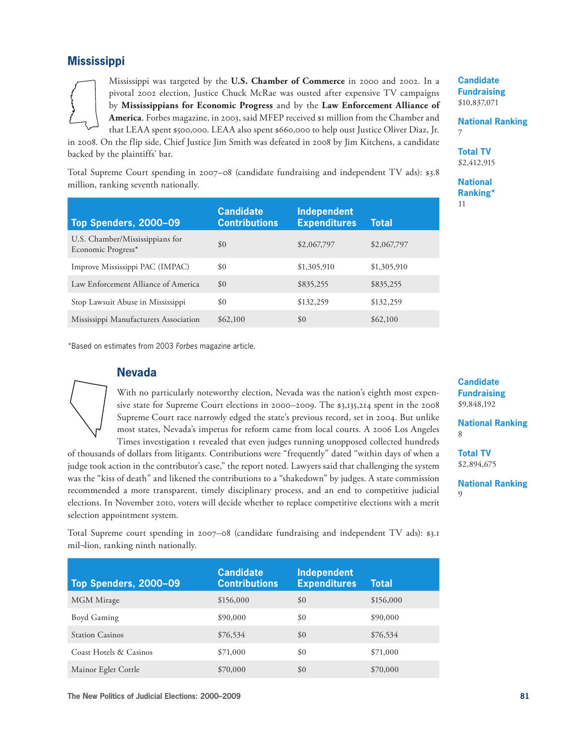#### **Mississippi**

Mississippi was targeted by the **U.S. Chamber of Commerce** in 2000 and 2002. In a pivotal 2002 election, Justice Chuck McRae was ousted after expensive TV campaigns by **Mississippians for Economic Progress** and by the **Law Enforcement Alliance of**  America. Forbes magazine, in 2003, said MFEP received \$1 million from the Chamber and that LEAA spent \$500,000. LEAA also spent \$660,000 to help oust Justice Oliver Diaz, Jr.

in 2008. On the flip side, Chief Justice Jim Smith was defeated in 2008 by Jim Kitchens, a candidate backed by the plaintiffs' bar.

Total Supreme Court spending in 2007–08 (candidate fundraising and independent TV ads): \$3.8 million, ranking seventh nationally.

| Top Spenders, 2000-09                                 | <b>Candidate</b><br><b>Contributions</b> | <b>Independent</b><br><b>Expenditures</b> | Total       |
|-------------------------------------------------------|------------------------------------------|-------------------------------------------|-------------|
| U.S. Chamber/Mississippians for<br>Economic Progress* | \$0                                      | \$2,067,797                               | \$2,067,797 |
| Improve Mississippi PAC (IMPAC)                       | \$0                                      | \$1,305,910                               | \$1,305,910 |
| Law Enforcement Alliance of America                   | \$0                                      | \$835,255                                 | \$835,255   |
| Stop Lawsuit Abuse in Mississippi                     | \$0                                      | \$132,259                                 | \$132,259   |
| Mississippi Manufacturers Association                 | \$62,100                                 | \$0                                       | \$62,100    |

\*Based on estimates from 2003 *Forbes* magazine article.

#### **Nevada**

With no particularly noteworthy election, Nevada was the nation's eighth most expensive state for Supreme Court elections in 2000–2009. The \$3,135,214 spent in the 2008 Supreme Court race narrowly edged the state's previous record, set in 2004. But unlike most states, Nevada's impetus for reform came from local courts. A 2006 Los Angeles Times investigation 1 revealed that even judges running unopposed collected hundreds

of thousands of dollars from litigants. Contributions were "frequently" dated "within days of when a judge took action in the contributor's case," the report noted. Lawyers said that challenging the system was the "kiss of death" and likened the contributions to a "shakedown" by judges. A state commission recommended a more transparent, timely disciplinary process, and an end to competitive judicial elections. In November 2010, voters will decide whether to replace competitive elections with a merit selection appointment system.

Total Supreme court spending in 2007–08 (candidate fundraising and independent TV ads): \$3.1 mil¬lion, ranking ninth nationally.

| Top Spenders, 2000-09  | <b>Candidate</b><br><b>Contributions</b> | <b>Independent</b><br><b>Expenditures</b> | <b>Total</b> |
|------------------------|------------------------------------------|-------------------------------------------|--------------|
| MGM Mirage             | \$156,000                                | \$0                                       | \$156,000    |
| Boyd Gaming            | \$90,000                                 | \$0                                       | \$90,000     |
| <b>Station Casinos</b> | \$76,534                                 | \$0                                       | \$76,534     |
| Coast Hotels & Casinos | \$71,000                                 | \$0                                       | \$71,000     |
| Mainor Eglet Cottle    | \$70,000                                 | \$0                                       | \$70,000     |

**Candidate Fundraising** \$10,837,071

**National Ranking** 7

**Total TV** \$2,412,915

**National Ranking\*** 11

**Candidate Fundraising**  \$9,848,192

**National Ranking** 8

**Total TV** \$2,894,675

**National Ranking** 9

**The New Politics of Judicial Elections: 2000–2009 81**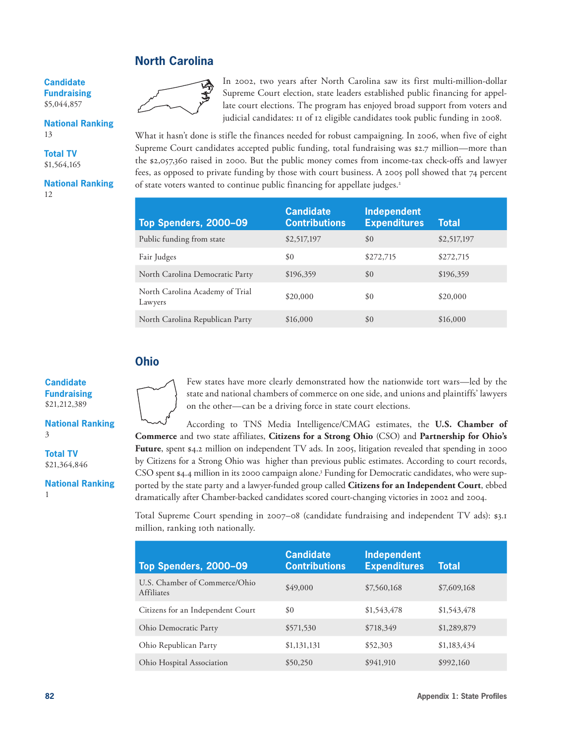#### **North Carolina**

**Candidate Fundraising**  \$5,044,857

#### **National Ranking** 13

**Total TV** \$1,564,165

**National Ranking** 12



In 2002, two years after North Carolina saw its first multi-million-dollar Supreme Court election, state leaders established public financing for appellate court elections. The program has enjoyed broad support from voters and judicial candidates: 11 of 12 eligible candidates took public funding in 2008.

What it hasn't done is stifle the finances needed for robust campaigning. In 2006, when five of eight Supreme Court candidates accepted public funding, total fundraising was \$2.7 million—more than the \$2,057,360 raised in 2000. But the public money comes from income-tax check-offs and lawyer fees, as opposed to private funding by those with court business. A 2005 poll showed that 74 percent of state voters wanted to continue public financing for appellate judges.<sup>2</sup>

| Top Spenders, 2000-09                      | <b>Candidate</b><br><b>Contributions</b> | <b>Independent</b><br><b>Expenditures</b> | <b>Total</b> |
|--------------------------------------------|------------------------------------------|-------------------------------------------|--------------|
| Public funding from state                  | \$2,517,197                              | \$0                                       | \$2,517,197  |
| Fair Judges                                | \$0                                      | \$272,715                                 | \$272,715    |
| North Carolina Democratic Party            | \$196,359                                | \$0                                       | \$196,359    |
| North Carolina Academy of Trial<br>Lawyers | \$20,000                                 | \$0                                       | \$20,000     |
| North Carolina Republican Party            | \$16,000                                 | \$0                                       | \$16,000     |

#### **Ohio**

**Candidate Fundraising**  \$21,212,389

**National Ranking** 3

**Total TV** \$21,364,846

1

**National Ranking**



Few states have more clearly demonstrated how the nationwide tort wars—led by the state and national chambers of commerce on one side, and unions and plaintiffs' lawyers on the other—can be a driving force in state court elections.

According to TNS Media Intelligence/CMAG estimates, the **U.S. Chamber of Commerce** and two state affiliates, **Citizens for a Strong Ohio** (CSO) and **Partnership for Ohio's Future**, spent \$4.2 million on independent TV ads. In 2005, litigation revealed that spending in 2000 by Citizens for a Strong Ohio was higher than previous public estimates. According to court records, CSO spent \$4.4 million in its 2000 campaign alone.3 Funding for Democratic candidates, who were supported by the state party and a lawyer-funded group called **Citizens for an Independent Court**, ebbed dramatically after Chamber-backed candidates scored court-changing victories in 2002 and 2004.

Total Supreme Court spending in 2007–08 (candidate fundraising and independent TV ads): \$3.1 million, ranking 10th nationally.

| Top Spenders, 2000-09                              | <b>Candidate</b><br><b>Contributions</b> | <b>Independent</b><br><b>Expenditures</b> | <b>Total</b> |
|----------------------------------------------------|------------------------------------------|-------------------------------------------|--------------|
| U.S. Chamber of Commerce/Ohio<br><b>Affiliates</b> | \$49,000                                 | \$7,560,168                               | \$7,609,168  |
| Citizens for an Independent Court                  | \$0                                      | \$1,543,478                               | \$1,543,478  |
| Ohio Democratic Party                              | \$571,530                                | \$718,349                                 | \$1,289,879  |
| Ohio Republican Party                              | \$1,131,131                              | \$52,303                                  | \$1,183,434  |
| Ohio Hospital Association                          | \$50,250                                 | \$941,910                                 | \$992,160    |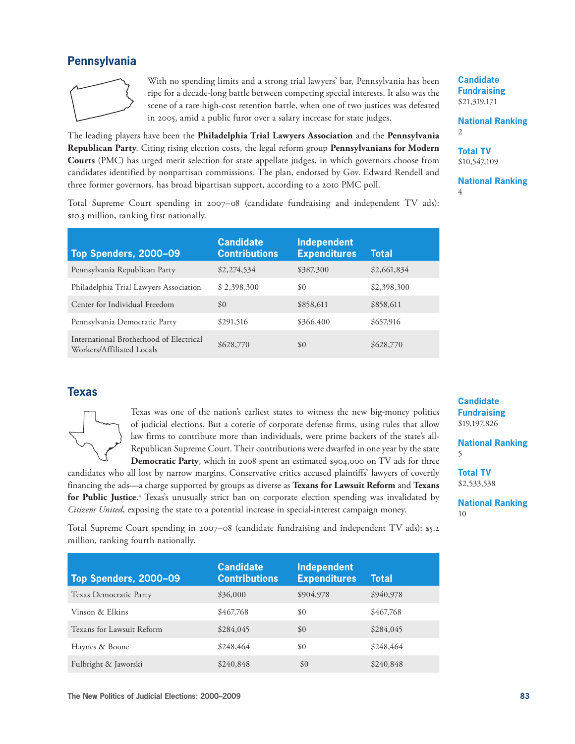#### **Pennsylvania**



With no spending limits and a strong trial lawyers' bar, Pennsylvania has been ripe for a decade-long battle between competing special interests. It also was the scene of a rare high-cost retention battle, when one of two justices was defeated in 2005, amid a public furor over a salary increase for state judges.

The leading players have been the **Philadelphia Trial Lawyers Association** and the **Pennsylvania Republican Party**. Citing rising election costs, the legal reform group **Pennsylvanians for Modern Courts** (PMC) has urged merit selection for state appellate judges, in which governors choose from candidates identified by nonpartisan commissions. The plan, endorsed by Gov. Edward Rendell and three former governors, has broad bipartisan support, according to a 2010 PMC poll.

Total Supreme Court spending in 2007–08 (candidate fundraising and independent TV ads): \$10.3 million, ranking first nationally.

| Top Spenders, 2000-09                                                | <b>Candidate</b><br><b>Contributions</b> | <b>Independent</b><br><b>Expenditures</b> | Total       |
|----------------------------------------------------------------------|------------------------------------------|-------------------------------------------|-------------|
| Pennsylvania Republican Party                                        | \$2,274,534                              | \$387,300                                 | \$2,661,834 |
| Philadelphia Trial Lawyers Association                               | \$2,398,300                              | \$0                                       | \$2,398,300 |
| Center for Individual Freedom                                        | \$0                                      | \$858,611                                 | \$858,611   |
| Pennsylvania Democratic Party                                        | \$291,516                                | \$366,400                                 | \$657,916   |
| International Brotherhood of Electrical<br>Workers/Affiliated Locals | \$628,770                                | \$0                                       | \$628,770   |

#### **Texas**



Texas was one of the nation's earliest states to witness the new big-money politics of judicial elections. But a coterie of corporate defense firms, using rules that allow law firms to contribute more than individuals, were prime backers of the state's all-Republican Supreme Court. Their contributions were dwarfed in one year by the state **Democratic Party**, which in 2008 spent an estimated \$904,000 on TV ads for three

candidates who all lost by narrow margins. Conservative critics accused plaintiffs' lawyers of covertly financing the ads—a charge supported by groups as diverse as **Texans for Lawsuit Reform** and **Texans for Public Justice**. 4 Texas's unusually strict ban on corporate election spending was invalidated by *Citizens United*, exposing the state to a potential increase in special-interest campaign money.

Total Supreme Court spending in 2007–08 (candidate fundraising and independent TV ads): \$5.2 million, ranking fourth nationally.

| Top Spenders, 2000-09     | <b>Candidate</b><br><b>Contributions</b> | <b>Independent</b><br><b>Expenditures</b> | <b>Total</b> |
|---------------------------|------------------------------------------|-------------------------------------------|--------------|
| Texas Democratic Party    | \$36,000                                 | \$904,978                                 | \$940,978    |
| Vinson & Elkins           | \$467,768                                | \$0                                       | \$467,768    |
| Texans for Lawsuit Reform | \$284,045                                | \$0                                       | \$284,045    |
| Haynes & Boone            | \$248,464                                | \$0                                       | \$248,464    |
| Fulbright & Jaworski      | \$240,848                                | \$0                                       | \$240,848    |

**National Ranking** 2

**Total TV** \$10,547,109

**National Ranking** 4

**Candidate Fundraising**  \$19,197,826

**National Ranking** 5

**Total TV** \$2,533,538

**National Ranking** 10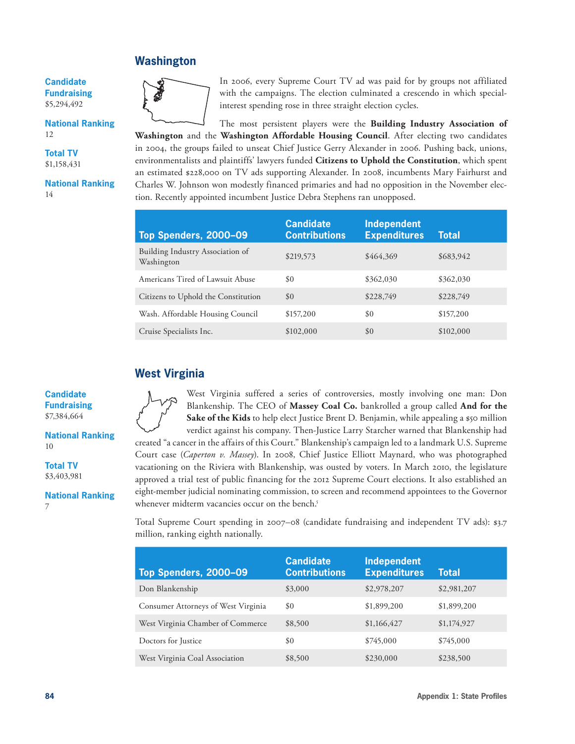#### **Washington**

**Candidate Fundraising**  \$5,294,492

**National Ranking** 12

**Total TV** \$1,158,431

**National Ranking** 14



In 2006, every Supreme Court TV ad was paid for by groups not affiliated with the campaigns. The election culminated a crescendo in which specialinterest spending rose in three straight election cycles.

The most persistent players were the **Building Industry Association of Washington** and the **Washington Affordable Housing Council**. After electing two candidates in 2004, the groups failed to unseat Chief Justice Gerry Alexander in 2006. Pushing back, unions, environmentalists and plaintiffs' lawyers funded **Citizens to Uphold the Constitution**, which spent an estimated \$228,000 on TV ads supporting Alexander. In 2008, incumbents Mary Fairhurst and Charles W. Johnson won modestly financed primaries and had no opposition in the November election. Recently appointed incumbent Justice Debra Stephens ran unopposed.

| Top Spenders, 2000-09                          | <b>Candidate</b><br><b>Contributions</b> | <b>Independent</b><br><b>Expenditures</b> | <b>Total</b> |
|------------------------------------------------|------------------------------------------|-------------------------------------------|--------------|
| Building Industry Association of<br>Washington | \$219,573                                | \$464,369                                 | \$683,942    |
| Americans Tired of Lawsuit Abuse               | \$0                                      | \$362,030                                 | \$362,030    |
| Citizens to Uphold the Constitution            | \$0                                      | \$228,749                                 | \$228,749    |
| Wash. Affordable Housing Council               | \$157,200                                | \$0                                       | \$157,200    |
| Cruise Specialists Inc.                        | \$102,000                                | \$0                                       | \$102,000    |

### **West Virginia**

**Candidate Fundraising**  \$7,384,664

**National Ranking** 10

**Total TV** \$3,403,981

**National Ranking** 7



West Virginia suffered a series of controversies, mostly involving one man: Don Blankenship. The CEO of **Massey Coal Co.** bankrolled a group called **And for the Sake of the Kids** to help elect Justice Brent D. Benjamin, while appealing a \$50 million verdict against his company. Then-Justice Larry Starcher warned that Blankenship had

created "a cancer in the affairs of this Court." Blankenship's campaign led to a landmark U.S. Supreme Court case (*Caperton v. Massey*). In 2008, Chief Justice Elliott Maynard, who was photographed vacationing on the Riviera with Blankenship, was ousted by voters. In March 2010, the legislature approved a trial test of public financing for the 2012 Supreme Court elections. It also established an eight-member judicial nominating commission, to screen and recommend appointees to the Governor whenever midterm vacancies occur on the bench.<sup>5</sup>

Total Supreme Court spending in 2007–08 (candidate fundraising and independent TV ads): \$3.7 million, ranking eighth nationally.

| Top Spenders, 2000-09               | <b>Candidate</b><br><b>Contributions</b> | <b>Independent</b><br><b>Expenditures</b> | <b>Total</b> |
|-------------------------------------|------------------------------------------|-------------------------------------------|--------------|
| Don Blankenship                     | \$3,000                                  | \$2,978,207                               | \$2,981,207  |
| Consumer Attorneys of West Virginia | \$0                                      | \$1,899,200                               | \$1,899,200  |
| West Virginia Chamber of Commerce   | \$8,500                                  | \$1,166,427                               | \$1,174,927  |
| Doctors for Justice                 | \$0                                      | \$745,000                                 | \$745,000    |
| West Virginia Coal Association      | \$8,500                                  | \$230,000                                 | \$238,500    |